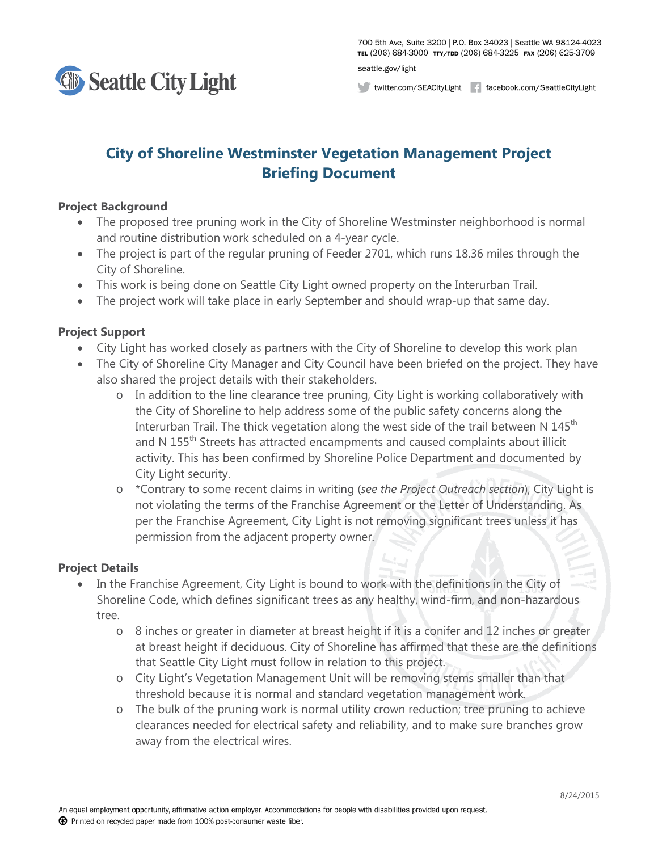

700 5th Ave, Suite 3200 | P.O. Box 34023 | Seattle WA 98124-4023 TEL (206) 684-3000 TTY/TDD (206) 684-3225 FAX (206) 625-3709 seattle.gov/light

twitter.com/SEACityLight facebook.com/SeattleCityLight

# **City of Shoreline Westminster Vegetation Management Project Briefing Document**

#### **Project Background**

- The proposed tree pruning work in the City of Shoreline Westminster neighborhood is normal and routine distribution work scheduled on a 4-year cycle.
- The project is part of the regular pruning of Feeder 2701, which runs 18.36 miles through the City of Shoreline.
- This work is being done on Seattle City Light owned property on the Interurban Trail.
- The project work will take place in early September and should wrap-up that same day.

#### **Project Support**

- City Light has worked closely as partners with the City of Shoreline to develop this work plan
- The City of Shoreline City Manager and City Council have been briefed on the project. They have also shared the project details with their stakeholders.
	- o In addition to the line clearance tree pruning, City Light is working collaboratively with the City of Shoreline to help address some of the public safety concerns along the Interurban Trail. The thick vegetation along the west side of the trail between N  $145<sup>th</sup>$ and N 155<sup>th</sup> Streets has attracted encampments and caused complaints about illicit activity. This has been confirmed by Shoreline Police Department and documented by City Light security.
	- o \*Contrary to some recent claims in writing (*see the Project Outreach section*), City Light is not violating the terms of the Franchise Agreement or the Letter of Understanding. As per the Franchise Agreement, City Light is not removing significant trees unless it has permission from the adjacent property owner.

#### **Project Details**

- In the Franchise Agreement, City Light is bound to work with the definitions in the City of Shoreline Code, which defines significant trees as any healthy, wind-firm, and non-hazardous tree.
	- $\circ$  8 inches or greater in diameter at breast height if it is a conifer and 12 inches or greater at breast height if deciduous. City of Shoreline has affirmed that these are the definitions that Seattle City Light must follow in relation to this project.
	- o City Light's Vegetation Management Unit will be removing stems smaller than that threshold because it is normal and standard vegetation management work.
	- o The bulk of the pruning work is normal utility crown reduction; tree pruning to achieve clearances needed for electrical safety and reliability, and to make sure branches grow away from the electrical wires.